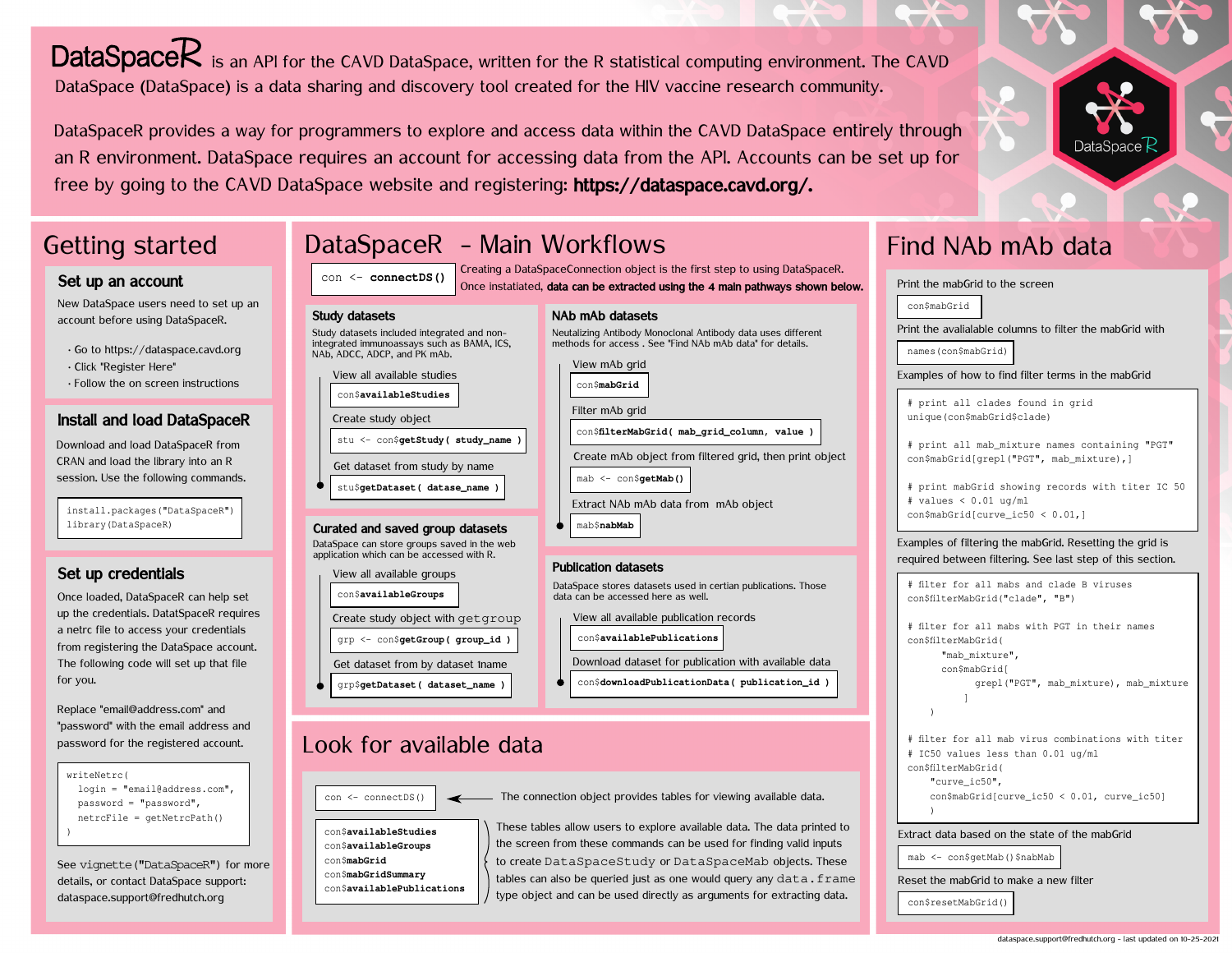DataSpaceR is an API for the CAVD DataSpace, written for the R statistical computing environment. The CAVD DataSpace (DataSpace) is a data sharing and discovery tool created for the HIV vaccine research community.

DataSpaceR provides a way for programmers to explore and access data within the CAVD DataSpace entirely through an R environment. DataSpace requires an account for accessing data from the API. Accounts can be set up for free by going to the CAVD DataSpace website and registering: https://dataspace.cavd.org/.

# Getting started

### Set up an account

New DataSpace users need to set up an account before using DataSpaceR.

- · Go to https://dataspace.cavd.org · Click "Register Here"
- · Follow the on screen instructions

### Install and load DataSpaceR

Download and load DataSpaceR from CRAN and load the library into an R session. Use the following commands.

install.packages("DataSpaceR") library(DataSpaceR)

### Set up credentials

Once loaded, DataSpaceR can help set up the credentials. DatatSpaceR requires a netrc file to access your credentials from registering the DataSpace account. The following code will set up that file for you.

Replace "email@address.com" and "password" with the email address and password for the registered account.

| writeNetrc(                    |
|--------------------------------|
| $login = "email@address.com",$ |
| $password = "password",$       |
| $metricFile = qetNetrcPath()$  |
|                                |

See vignette("DataSpaceR") for more details, or contact DataSpace support: dataspace.support@fredhutch.org

# DataSpaceR - Main Workflows

con <- **connectDS()** Creating a DataSpaceConnection object is the first step to using DataSpaceR. Once instatiated, data can be extracted using the 4 main pathways shown below.

#### Study datasets Study datasets included integrated and integrated immunoassays such as BAM

con\$**availableStudies** View all available studies

Create study object

NAb, ADCC, ADCP, and PK mAb.

|                    | NAb mAb datasets                                                                                                         |
|--------------------|--------------------------------------------------------------------------------------------------------------------------|
| d non-<br>IA. ICS. | Neutalizing Antibody Monoclonal Antibody data uses different<br>methods for access. See "Find NAb mAb data" for details. |
|                    | View mAb grid                                                                                                            |

con\$**mabGrid**

Filter mAb grid

con\$**filterMabGrid( mab\_grid\_column, value )**

Create mAb object from filtered grid, then print object

mab <- con\$**getMab()**

Extract NAb mAb data from mAb object

mab\$**nabMab**

#### Publication datasets

DataSpace stores datasets used in certian publications. Those data can be accessed here as well.

View all available publication records

- con\$**availablePublications**
- Download dataset for publication with available data
- con\$**downloadPublicationData( publication\_id )**

## Look for available data

grp <- con\$**getGroup( group\_id )**

grp\$**getDataset( dataset\_name )** Get dataset from by dataset 1name

Create study object with getgroup

Curated and saved group datasets

DataSpace can store groups saved in the web application which can be accessed with R.

stu\$**getDataset( datase\_name )** Get dataset from study by name stu <- con\$**getStudy( study\_name )**

con\$**availableGroups**

View all available groups

 $\cos \left( \frac{1}{2} \right)$   $\cos \left( \frac{1}{2} \right)$  The connection object provides tables for viewing available data.

con\$**availableStudies** con\$**availableGroups** con\$**mabGrid** con\$**mabGridSummary** con\$**availablePublications**

These tables allow users to explore available data. The data printed to the screen from these commands can be used for finding valid inputs to create DataSpaceStudy or DataSpaceMab objects. These tables can also be queried just as one would query any  $data$ . frame type object and can be used directly as arguments for extracting data.

# Find NAb mAb data

| con\$mabGrid  |                                                                                                                                                                     |
|---------------|---------------------------------------------------------------------------------------------------------------------------------------------------------------------|
|               | Print the avalialable columns to filter the mabGrid with                                                                                                            |
|               | names (con\$mabGrid)                                                                                                                                                |
|               | Examples of how to find filter terms in the mabGrid                                                                                                                 |
|               | # print all clades found in grid<br>unique (con\$mabGrid\$clade)                                                                                                    |
|               | # print all mab_mixture names containing "PGT"<br>con\$mabGrid[grepl("PGT", mab_mixture),]                                                                          |
|               | # print mabGrid showing records with titer IC 50                                                                                                                    |
|               | # values < $0.01$ ug/ml                                                                                                                                             |
|               | con\$mabGrid[curve_ic50 < 0.01,]                                                                                                                                    |
|               | Examples of filtering the mabGrid. Resetting the grid is<br>required between filtering. See last step of this section.<br># filter for all mabs and clade B viruses |
|               | con\$filterMabGrid("clade", "B")                                                                                                                                    |
|               | # filter for all mabs with PGT in their names                                                                                                                       |
|               | con\$filterMabGrid(                                                                                                                                                 |
|               | "mab mixture",                                                                                                                                                      |
|               | con\$mabGrid[                                                                                                                                                       |
|               | grepl ("PGT", mab_mixture), mab_mixture                                                                                                                             |
|               | 1                                                                                                                                                                   |
| $\mathcal{E}$ |                                                                                                                                                                     |
|               |                                                                                                                                                                     |
|               | # IC50 values less than 0.01 ug/ml                                                                                                                                  |
|               | con\$filterMabGrid(                                                                                                                                                 |
|               | # filter for all mab virus combinations with titer<br>"curve ic50",                                                                                                 |
| 1             | con\$mabGrid[curve_ic50 < 0.01, curve_ic50]                                                                                                                         |



Reset the mabGrid to make a new filter

con\$resetMabGrid()